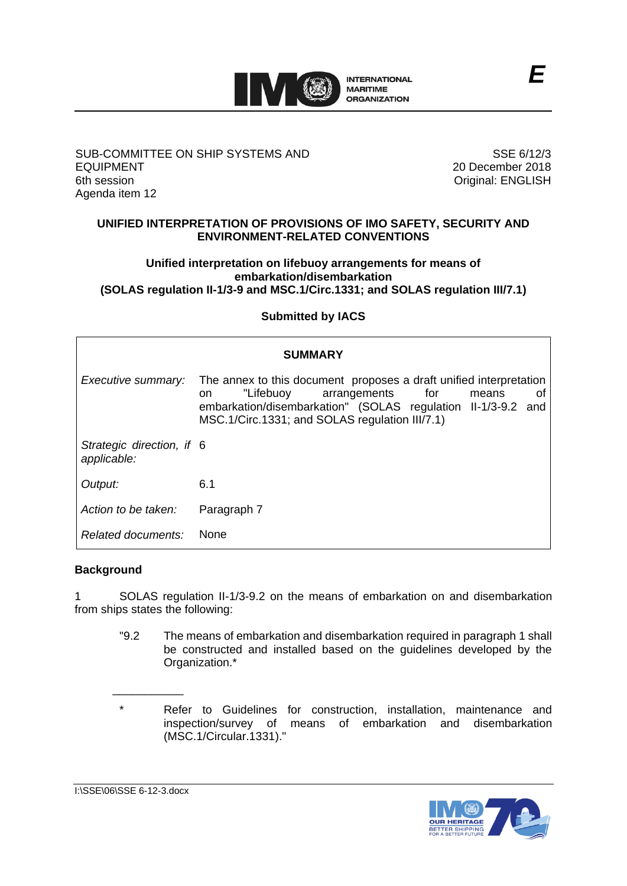

## SUB-COMMITTEE ON SHIP SYSTEMS AND EQUIPMENT 6th session Agenda item 12

SSE 6/12/3 20 December 2018 Original: ENGLISH

## **UNIFIED INTERPRETATION OF PROVISIONS OF IMO SAFETY, SECURITY AND ENVIRONMENT-RELATED CONVENTIONS**

### **Unified interpretation on lifebuoy arrangements for means of embarkation/disembarkation (SOLAS regulation II-1/3-9 and MSC.1/Circ.1331; and SOLAS regulation III/7.1)**

# **Submitted by IACS**

| <b>SUMMARY</b>                           |                                                                                                                                                                                                                                               |
|------------------------------------------|-----------------------------------------------------------------------------------------------------------------------------------------------------------------------------------------------------------------------------------------------|
| Executive summary:                       | The annex to this document proposes a draft unified interpretation<br>"Lifebuoy<br>for<br>arrangements<br>means<br>0t<br>on<br>embarkation/disembarkation" (SOLAS regulation II-1/3-9.2 and<br>MSC.1/Circ.1331; and SOLAS regulation III/7.1) |
| Strategic direction, if 6<br>applicable: |                                                                                                                                                                                                                                               |
| Output:                                  | 6.1                                                                                                                                                                                                                                           |
| Action to be taken:                      | Paragraph 7                                                                                                                                                                                                                                   |
| Related documents:                       | <b>None</b>                                                                                                                                                                                                                                   |

# **Background**

1 SOLAS regulation II-1/3-9.2 on the means of embarkation on and disembarkation from ships states the following:

"9.2 The means of embarkation and disembarkation required in paragraph 1 shall be constructed and installed based on the guidelines developed by the Organization.\*

\_\_\_\_\_\_\_\_\_\_\_

<sup>\*</sup> Refer to Guidelines for construction, installation, maintenance and inspection/survey of means of embarkation and disembarkation (MSC.1/Circular.1331)."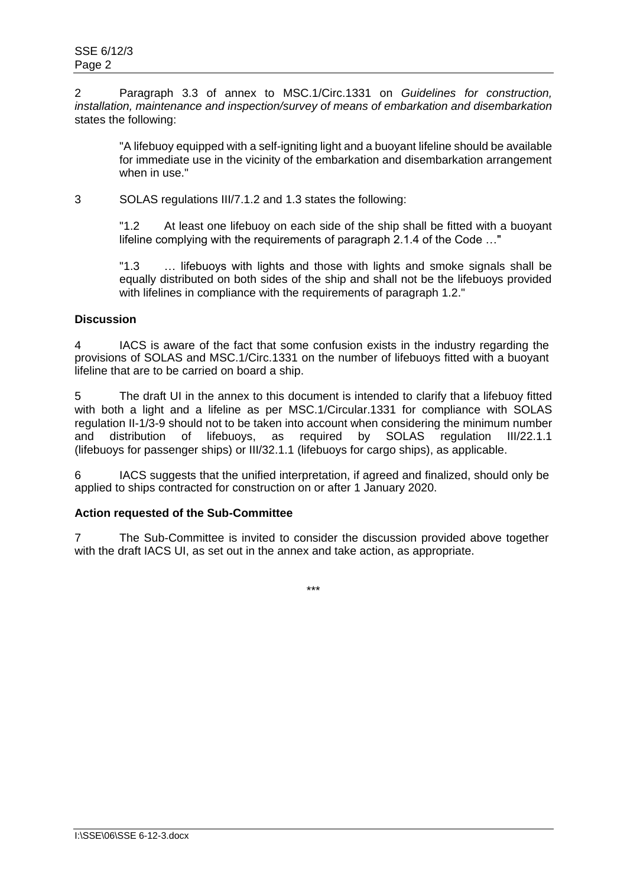2 Paragraph 3.3 of annex to MSC.1/Circ.1331 on *Guidelines for construction, installation, maintenance and inspection/survey of means of embarkation and disembarkation* states the following:

"A lifebuoy equipped with a self-igniting light and a buoyant lifeline should be available for immediate use in the vicinity of the embarkation and disembarkation arrangement when in use."

3 SOLAS regulations III/7.1.2 and 1.3 states the following:

"1.2 At least one lifebuoy on each side of the ship shall be fitted with a buoyant lifeline complying with the requirements of paragraph 2.1.4 of the Code …"

"1.3 … lifebuoys with lights and those with lights and smoke signals shall be equally distributed on both sides of the ship and shall not be the lifebuoys provided with lifelines in compliance with the requirements of paragraph 1.2."

### **Discussion**

4 IACS is aware of the fact that some confusion exists in the industry regarding the provisions of SOLAS and MSC.1/Circ.1331 on the number of lifebuoys fitted with a buoyant lifeline that are to be carried on board a ship.

5 The draft UI in the annex to this document is intended to clarify that a lifebuoy fitted with both a light and a lifeline as per MSC.1/Circular.1331 for compliance with SOLAS regulation II-1/3-9 should not to be taken into account when considering the minimum number and distribution of lifebuoys, as required by SOLAS regulation III/22.1.1 (lifebuoys for passenger ships) or III/32.1.1 (lifebuoys for cargo ships), as applicable.

6 IACS suggests that the unified interpretation, if agreed and finalized, should only be applied to ships contracted for construction on or after 1 January 2020.

#### **Action requested of the Sub-Committee**

7 The Sub-Committee is invited to consider the discussion provided above together with the draft IACS UI, as set out in the annex and take action, as appropriate.

\*\*\*